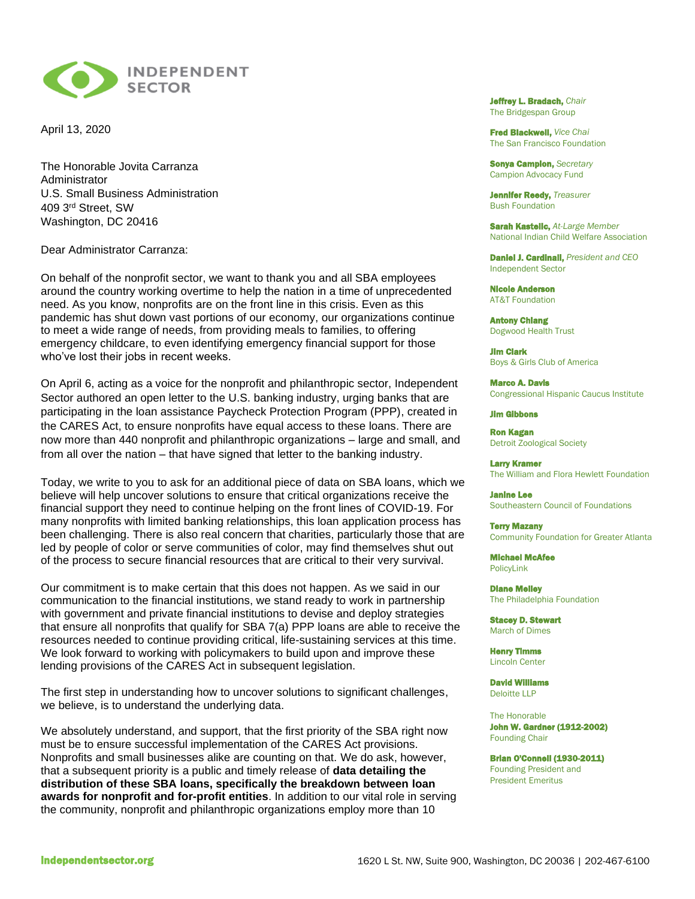

April 13, 2020

The Honorable Jovita Carranza Administrator U.S. Small Business Administration 409 3rd Street, SW Washington, DC 20416

Dear Administrator Carranza:

On behalf of the nonprofit sector, we want to thank you and all SBA employees around the country working overtime to help the nation in a time of unprecedented need. As you know, nonprofits are on the front line in this crisis. Even as this pandemic has shut down vast portions of our economy, our organizations continue to meet a wide range of needs, from providing meals to families, to offering emergency childcare, to even identifying emergency financial support for those who've lost their jobs in recent weeks.

On April 6, acting as a voice for the nonprofit and philanthropic sector, Independent Sector authored an open letter to the U.S. banking industry, urging banks that are participating in the loan assistance Paycheck Protection Program (PPP), created in the CARES Act, to ensure nonprofits have equal access to these loans. There are now more than 440 nonprofit and philanthropic organizations – large and small, and from all over the nation – that have signed that letter to the banking industry.

Today, we write to you to ask for an additional piece of data on SBA loans, which we believe will help uncover solutions to ensure that critical organizations receive the financial support they need to continue helping on the front lines of COVID-19. For many nonprofits with limited banking relationships, this loan application process has been challenging. There is also real concern that charities, particularly those that are led by people of color or serve communities of color, may find themselves shut out of the process to secure financial resources that are critical to their very survival.

Our commitment is to make certain that this does not happen. As we said in our communication to the financial institutions, we stand ready to work in partnership with government and private financial institutions to devise and deploy strategies that ensure all nonprofits that qualify for SBA 7(a) PPP loans are able to receive the resources needed to continue providing critical, life-sustaining services at this time. We look forward to working with policymakers to build upon and improve these lending provisions of the CARES Act in subsequent legislation.

The first step in understanding how to uncover solutions to significant challenges, we believe, is to understand the underlying data.

We absolutely understand, and support, that the first priority of the SBA right now must be to ensure successful implementation of the CARES Act provisions. Nonprofits and small businesses alike are counting on that. We do ask, however, that a subsequent priority is a public and timely release of **data detailing the distribution of these SBA loans, specifically the breakdown between loan awards for nonprofit and for-profit entities**. In addition to our vital role in serving the community, nonprofit and philanthropic organizations employ more than 10

Jeffrey L. Bradach, *Chair* The Bridgespan Group

Fred Blackwell, *Vice Chai* The San Francisco Foundation

Sonya Campion, *Secretary* Campion Advocacy Fund

Jennifer Reedy, *Treasurer*  Bush Foundation

Sarah Kastelic, *At-Large Member* National Indian Child Welfare Association

Daniel J. Cardinali, *President and CEO* Independent Sector

Nicole Anderson AT&T Foundation

Antony Chiang Dogwood Health Trust

Jim Clark Boys & Girls Club of America

Marco A. Davis Congressional Hispanic Caucus Institute

Jim Gibbons

Ron Kagan Detroit Zoological Society

Larry Kramer The William and Flora Hewlett Foundation

Janine Lee Southeastern Council of Foundations

Terry Mazany Community Foundation for Greater Atlanta

Michael McAfee PolicyLink

Diane Melley The Philadelphia Foundation

Stacey D. Stewart March of Dimes

Henry Timms Lincoln Center

David Williams Deloitte LLP

The Honorable John W. Gardner (1912-2002) Founding Chair

Brian O'Connell (1930-2011) Founding President and President Emeritus